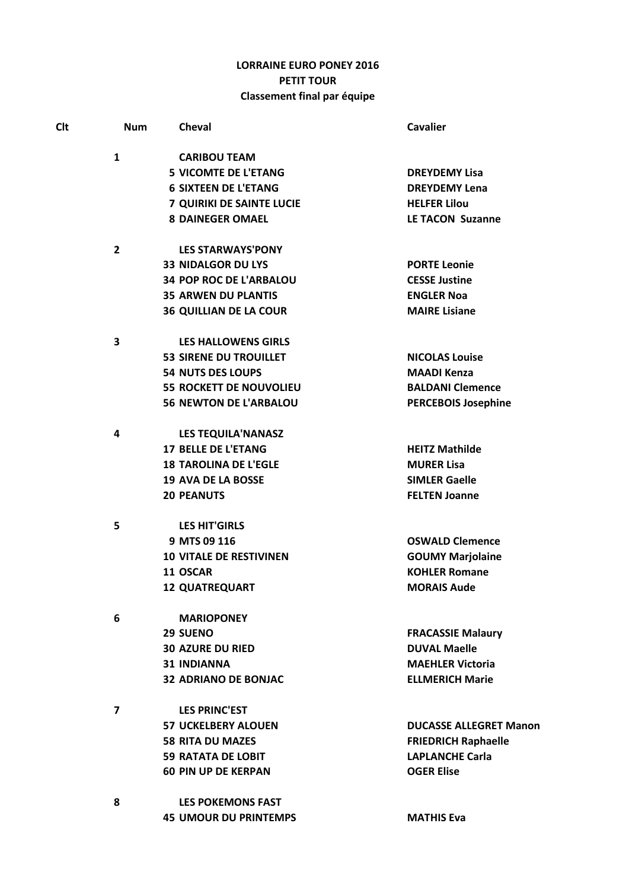## **LORRAINE EURO PONEY 2016** PETIT TOUR Classement final par équipe

| <b>Clt</b> | <b>Num</b>     | <b>Cheval</b>                    | <b>Cavalier</b>               |
|------------|----------------|----------------------------------|-------------------------------|
|            | $\mathbf{1}$   | <b>CARIBOU TEAM</b>              |                               |
|            |                | <b>5 VICOMTE DE L'ETANG</b>      | <b>DREYDEMY Lisa</b>          |
|            |                | <b>6 SIXTEEN DE L'ETANG</b>      | <b>DREYDEMY Lena</b>          |
|            |                | <b>7 QUIRIKI DE SAINTE LUCIE</b> | <b>HELFER Lilou</b>           |
|            |                | <b>8 DAINEGER OMAEL</b>          | <b>LE TACON Suzanne</b>       |
|            | $\mathbf{2}$   | <b>LES STARWAYS'PONY</b>         |                               |
|            |                | <b>33 NIDALGOR DU LYS</b>        | <b>PORTE Leonie</b>           |
|            |                | <b>34 POP ROC DE L'ARBALOU</b>   | <b>CESSE Justine</b>          |
|            |                | <b>35 ARWEN DU PLANTIS</b>       | <b>ENGLER Noa</b>             |
|            |                | <b>36 QUILLIAN DE LA COUR</b>    | <b>MAIRE Lisiane</b>          |
|            | 3              | <b>LES HALLOWENS GIRLS</b>       |                               |
|            |                | <b>53 SIRENE DU TROUILLET</b>    | <b>NICOLAS Louise</b>         |
|            |                | <b>54 NUTS DES LOUPS</b>         | <b>MAADI Kenza</b>            |
|            |                | <b>55 ROCKETT DE NOUVOLIEU</b>   | <b>BALDANI Clemence</b>       |
|            |                | <b>56 NEWTON DE L'ARBALOU</b>    | <b>PERCEBOIS Josephine</b>    |
|            | 4              | <b>LES TEQUILA'NANASZ</b>        |                               |
|            |                | <b>17 BELLE DE L'ETANG</b>       | <b>HEITZ Mathilde</b>         |
|            |                | <b>18 TAROLINA DE L'EGLE</b>     | <b>MURER Lisa</b>             |
|            |                | <b>19 AVA DE LA BOSSE</b>        | <b>SIMLER Gaelle</b>          |
|            |                | <b>20 PEANUTS</b>                | <b>FELTEN Joanne</b>          |
|            | 5              | <b>LES HIT'GIRLS</b>             |                               |
|            |                | 9 MTS 09 116                     | <b>OSWALD Clemence</b>        |
|            |                | <b>10 VITALE DE RESTIVINEN</b>   | <b>GOUMY Marjolaine</b>       |
|            |                | 11 OSCAR                         | <b>KOHLER Romane</b>          |
|            |                | <b>12 QUATREQUART</b>            | <b>MORAIS Aude</b>            |
|            | 6              | <b>MARIOPONEY</b>                |                               |
|            |                | 29 SUENO                         | <b>FRACASSIE Malaury</b>      |
|            |                | <b>30 AZURE DU RIED</b>          | <b>DUVAL Maelle</b>           |
|            |                | <b>31 INDIANNA</b>               | <b>MAEHLER Victoria</b>       |
|            |                | <b>32 ADRIANO DE BONJAC</b>      | <b>ELLMERICH Marie</b>        |
|            | $\overline{7}$ | <b>LES PRINC'EST</b>             |                               |
|            |                | <b>57 UCKELBERY ALOUEN</b>       | <b>DUCASSE ALLEGRET Manon</b> |
|            |                | <b>58 RITA DU MAZES</b>          | <b>FRIEDRICH Raphaelle</b>    |
|            |                | <b>59 RATATA DE LOBIT</b>        | <b>LAPLANCHE Carla</b>        |
|            |                | <b>60 PIN UP DE KERPAN</b>       | <b>OGER Elise</b>             |
|            | 8              | <b>LES POKEMONS FAST</b>         |                               |
|            |                | <b>45 UMOUR DU PRINTEMPS</b>     | <b>MATHIS Eva</b>             |